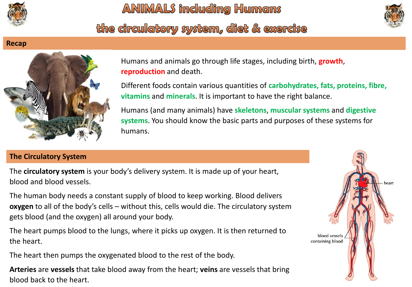

the circulatory system, diet & exercise



# **Recap**



Humans and animals go through life stages, including birth, **growth**, **reproduction** and death.

Different foods contain various quantities of **carbohydrates, fats, proteins, fibre, vitamins** and **minerals**. It is important to have the right balance.

Humans (and many animals) have **skeletons**, **muscular systems** and **digestive systems**. You should know the basic parts and purposes of these systems for humans.

## **The Circulatory System**

The **circulatory system** is your body's delivery system. It is made up of your heart, blood and blood vessels.

The human body needs a constant supply of blood to keep working. Blood delivers **oxygen** to all of the body's cells – without this, cells would die. The circulatory system gets blood (and the oxygen) all around your body.

The heart pumps blood to the lungs, where it picks up oxygen. It is then returned to the heart.

The heart then pumps the oxygenated blood to the rest of the body.

**Arteries** are **vessels** that take blood away from the heart; **veins** are vessels that bring blood back to the heart.